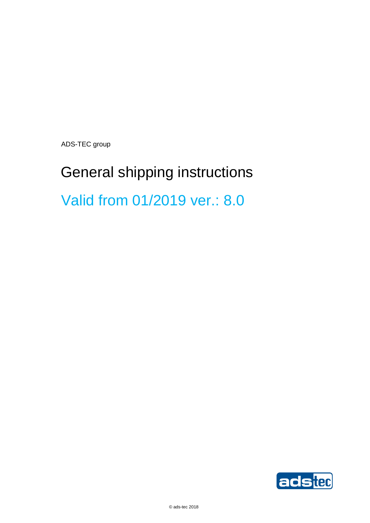ADS-TEC group

# General shipping instructions Valid from 01/2019 ver.: 8.0

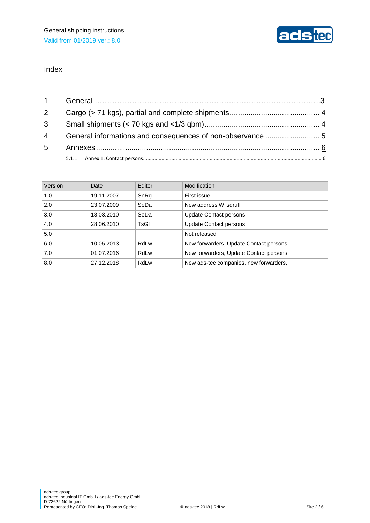#### Index

| Version | Date       | Editor | Modification                           |
|---------|------------|--------|----------------------------------------|
| 1.0     | 19.11.2007 | SnRg   | First issue                            |
| 2.0     | 23.07.2009 | SeDa   | New address Wilsdruff                  |
| 3.0     | 18.03.2010 | SeDa   | <b>Update Contact persons</b>          |
| 4.0     | 28.06.2010 | TsGf   | <b>Update Contact persons</b>          |
| 5.0     |            |        | Not released                           |
| 6.0     | 10.05.2013 | RdLw   | New forwarders, Update Contact persons |
| 7.0     | 01.07.2016 | RdLw   | New forwarders, Update Contact persons |
| 8.0     | 27.12.2018 | RdLw   | New ads-tec companies, new forwarders, |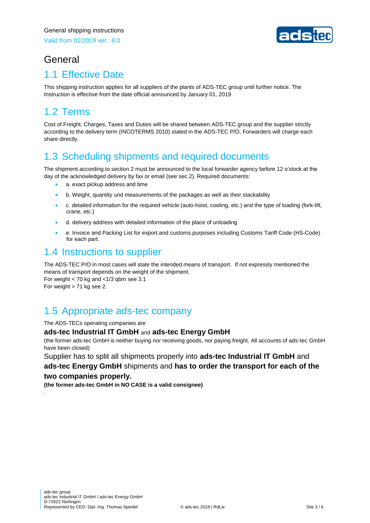

# General

### 1.1 Effective Date

This shipping instruction applies for all suppliers of the plants of ADS-TEC group until further notice. The Instruction is effective from the date official announced by January 01, 2019

# 1.2 Terms

Cost of Freight, Charges, Taxes and Duties will be shared between ADS-TEC group and the supplier strictly according to the delivery term (INCOTERMS 2010) stated in the ADS-TEC P/O. Forwarders will charge each share directly.

# 1.3 Scheduling shipments and required documents

The shipment according to section 2 must be announced to the local forwarder agency before 12 o'clock at the day of the acknowledged delivery by fax or email (see sec.2). Required documents:

- a. exact pickup address and time
- b. Weight, quantity und measurements of the packages as well as their stackability
- c. detailed information for the required vehicle (auto-hoist, cooling, etc.) and the type of loading (fork-lift, crane, etc.)
- d. delivery address with detailed information of the place of unloading
- e. Invoice and Packing List for export and customs purposes including Customs Tariff Code (HS-Code) for each part.

#### 1.4 Instructions to supplier

The ADS-TEC P/O in most cases will state the intended means of transport. If not expressly mentioned the means of transport depends on the weight of the shipment. For weight  $<$  70 kg and  $<$  1/3 gbm see 3.1 For weight > 71 kg see 2.

### 1.5 Appropriate ads-tec company

The ADS-TECs operating companies are

.

#### **ads-tec Industrial IT GmbH** and **ads-tec Energy GmbH**

(the former ads-tec GmbH is neither buying nor receiving goods, nor paying freight. All accounts of ads-tec GmbH have been closed)

Supplier has to split all shipments properly into **ads-tec Industrial IT GmbH** and **ads-tec Energy GmbH** shipments and **has to order the transport for each of the two companies properly.**

**(the former ads-tec GmbH in NO CASE is a valid consignee)**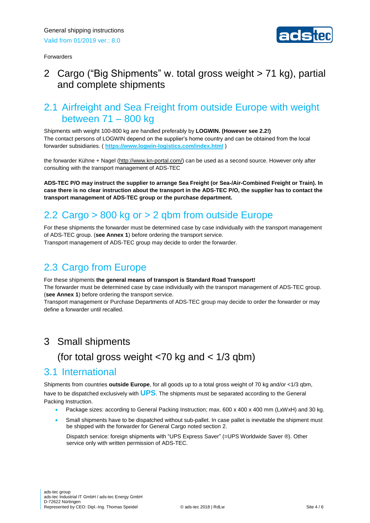



#### <span id="page-3-0"></span>2 Cargo ("Big Shipments" w. total gross weight > 71 kg), partial and complete shipments

#### 2.1 Airfreight and Sea Freight from outside Europe with weight between 71 – 800 kg

Shipments with weight 100-800 kg are handled preferably by **LOGWIN. (However see 2.2!)** The contact persons of LOGWIN depend on the supplier's home country and can be obtained from the local forwarder subsidiaries. ( **<https://www.logwin-logistics.com/index.html>** )

the forwarder Kühne + Nagel [\(http://www.kn-portal.com/\)](http://www.kn-portal.com/) can be used as a second source. However only after consulting with the transport management of ADS-TEC

**ADS-TEC P/O may instruct the supplier to arrange Sea Freight (or Sea-/Air-Combined Freight or Train). In case there is no clear instruction about the transport in the ADS-TEC P/O, the supplier has to contact the transport management of ADS-TEC group or the purchase department.**

# 2.2 Cargo > 800 kg or > 2 qbm from outside Europe

For these shipments the forwarder must be determined case by case individually with the transport management of ADS-TEC group. (**see Annex 1**) before ordering the transport service. Transport management of ADS-TEC group may decide to order the forwarder.

# 2.3 Cargo from Europe

For these shipments **the general means of transport is Standard Road Transport!**  The forwarder must be determined case by case individually with the transport management of ADS-TEC group. (**see Annex 1**) before ordering the transport service.

Transport management or Purchase Departments of ADS-TEC group may decide to order the forwarder or may define a forwarder until recalled.

#### <span id="page-3-1"></span>3 Small shipments

### (for total gross weight <70 kg and < 1/3 qbm)

#### 3.1 International

Shipments from countries **outside Europe**, for all goods up to a total gross weight of 70 kg and/or <1/3 qbm, have to be dispatched exclusively with **UPS**. The shipments must be separated according to the General Packing Instruction.

- Package sizes: according to General Packing Instruction; max. 600 x 400 x 400 mm (LxWxH) and 30 kg.
- Small shipments have to be dispatched without sub-pallet. In case pallet is inevitable the shipment must be shipped with the forwarder for General Cargo noted section 2.

Dispatch service: foreign shipments with "UPS Express Saver" (=UPS Worldwide Saver ®). Other service only with written permission of ADS-TEC.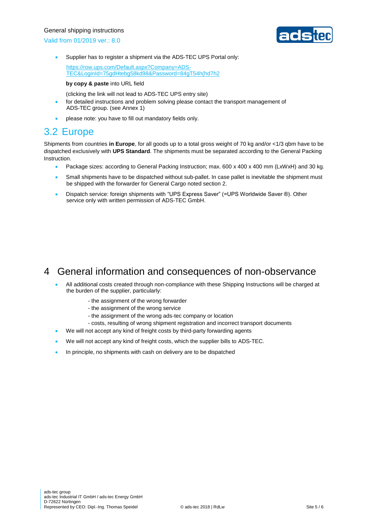#### General shipping instructions

Valid from 01/2019 ver.: 8.0



• Supplier has to register a shipment via the ADS-TEC UPS Portal only:

[https://row.ups.com/Default.aspx?Company=ADS-](https://row.ups.com/Default.aspx?Company=ADS-TEC&LoginId=75gdHtebg58kd98&Password=84gT54h(hd7h2)[TEC&LoginId=75gdHtebg58kd98&Password=84gT54h\(hd7h2](https://row.ups.com/Default.aspx?Company=ADS-TEC&LoginId=75gdHtebg58kd98&Password=84gT54h(hd7h2)

#### **by copy & paste** into URL field

(clicking the link will not lead to ADS-TEC UPS entry site)

- for detailed instructions and problem solving please contact the transport management of ADS-TEC group. (see Annex 1)
- please note: you have to fill out mandatory fields only.

#### 3.2 Europe

Shipments from countries **in Europe**, for all goods up to a total gross weight of 70 kg and/or <1/3 qbm have to be dispatched exclusively with **UPS Standard**. The shipments must be separated according to the General Packing Instruction.

- Package sizes: according to General Packing Instruction; max. 600 x 400 x 400 mm (LxWxH) and 30 kg.
- Small shipments have to be dispatched without sub-pallet. In case pallet is inevitable the shipment must be shipped with the forwarder for General Cargo noted section 2.
- Dispatch service: foreign shipments with "UPS Express Saver" (=UPS Worldwide Saver ®). Other service only with written permission of ADS-TEC GmbH.

#### <span id="page-4-0"></span>4 General information and consequences of non-observance

- All additional costs created through non-compliance with these Shipping Instructions will be charged at the burden of the supplier, particularly:
	- the assignment of the wrong forwarder
	- the assignment of the wrong service
	- the assignment of the wrong ads-tec company or location
	- costs, resulting of wrong shipment registration and incorrect transport documents
- We will not accept any kind of freight costs by third-party forwarding agents
- We will not accept any kind of freight costs, which the supplier bills to ADS-TEC.
- In principle, no shipments with cash on delivery are to be dispatched